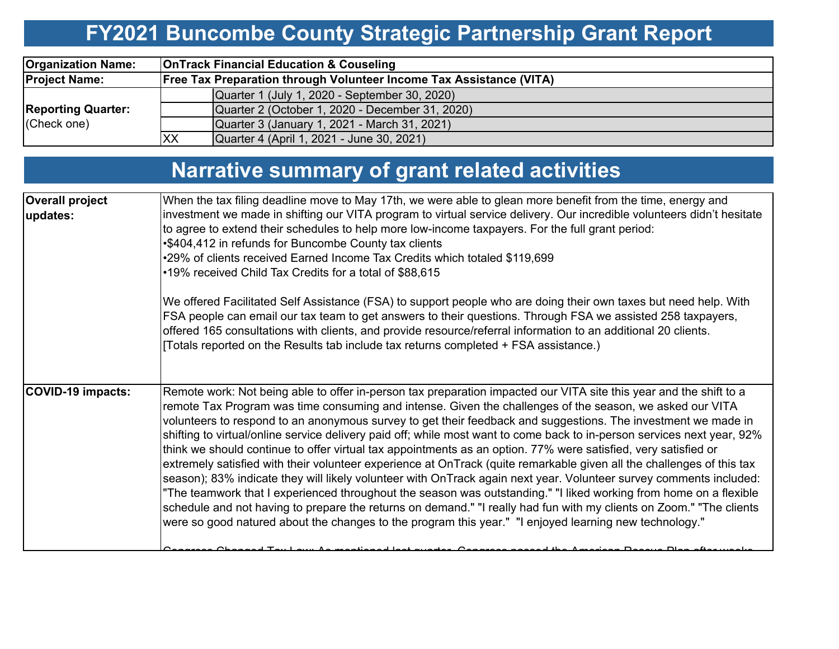# **FY2021 Buncombe County Strategic Partnership Grant Report**

| <b>Organization Name:</b>                | <b>OnTrack Financial Education &amp; Couseling</b>                         |                                                 |  |  |  |
|------------------------------------------|----------------------------------------------------------------------------|-------------------------------------------------|--|--|--|
| <b>Project Name:</b>                     | <b>Free Tax Preparation through Volunteer Income Tax Assistance (VITA)</b> |                                                 |  |  |  |
|                                          |                                                                            | Quarter 1 (July 1, 2020 - September 30, 2020)   |  |  |  |
| <b>Reporting Quarter:</b><br>(Check one) |                                                                            | Quarter 2 (October 1, 2020 - December 31, 2020) |  |  |  |
|                                          |                                                                            | Quarter 3 (January 1, 2021 - March 31, 2021)    |  |  |  |
|                                          | <b>XX</b>                                                                  | Quarter 4 (April 1, 2021 - June 30, 2021)       |  |  |  |

# **Narrative summary of grant related activities**

| <b>Overall project</b>   | When the tax filing deadline move to May 17th, we were able to glean more benefit from the time, energy and                                                                                                                                                                                                                                                                                                                                                                                                                                                                                                                                                                                                                                                                                                                                                                                                                                                                                                                                                                                                                                                                                       |  |  |  |  |  |
|--------------------------|---------------------------------------------------------------------------------------------------------------------------------------------------------------------------------------------------------------------------------------------------------------------------------------------------------------------------------------------------------------------------------------------------------------------------------------------------------------------------------------------------------------------------------------------------------------------------------------------------------------------------------------------------------------------------------------------------------------------------------------------------------------------------------------------------------------------------------------------------------------------------------------------------------------------------------------------------------------------------------------------------------------------------------------------------------------------------------------------------------------------------------------------------------------------------------------------------|--|--|--|--|--|
| updates:                 | investment we made in shifting our VITA program to virtual service delivery. Our incredible volunteers didn't hesitate<br>to agree to extend their schedules to help more low-income taxpayers. For the full grant period:<br>•\$404,412 in refunds for Buncombe County tax clients<br>•29% of clients received Earned Income Tax Credits which totaled \$119,699<br>•19% received Child Tax Credits for a total of \$88,615                                                                                                                                                                                                                                                                                                                                                                                                                                                                                                                                                                                                                                                                                                                                                                      |  |  |  |  |  |
|                          | We offered Facilitated Self Assistance (FSA) to support people who are doing their own taxes but need help. With<br>FSA people can email our tax team to get answers to their questions. Through FSA we assisted 258 taxpayers,<br>offered 165 consultations with clients, and provide resource/referral information to an additional 20 clients.<br>[Totals reported on the Results tab include tax returns completed + FSA assistance.)                                                                                                                                                                                                                                                                                                                                                                                                                                                                                                                                                                                                                                                                                                                                                         |  |  |  |  |  |
| <b>COVID-19 impacts:</b> | Remote work: Not being able to offer in-person tax preparation impacted our VITA site this year and the shift to a<br>remote Tax Program was time consuming and intense. Given the challenges of the season, we asked our VITA<br>volunteers to respond to an anonymous survey to get their feedback and suggestions. The investment we made in<br>shifting to virtual/online service delivery paid off; while most want to come back to in-person services next year, 92%<br>think we should continue to offer virtual tax appointments as an option. 77% were satisfied, very satisfied or<br>extremely satisfied with their volunteer experience at OnTrack (quite remarkable given all the challenges of this tax<br>season); 83% indicate they will likely volunteer with OnTrack again next year. Volunteer survey comments included:<br>"The teamwork that I experienced throughout the season was outstanding." "I liked working from home on a flexible<br>schedule and not having to prepare the returns on demand." "I really had fun with my clients on Zoom." "The clients<br>were so good natured about the changes to the program this year." "I enjoyed learning new technology." |  |  |  |  |  |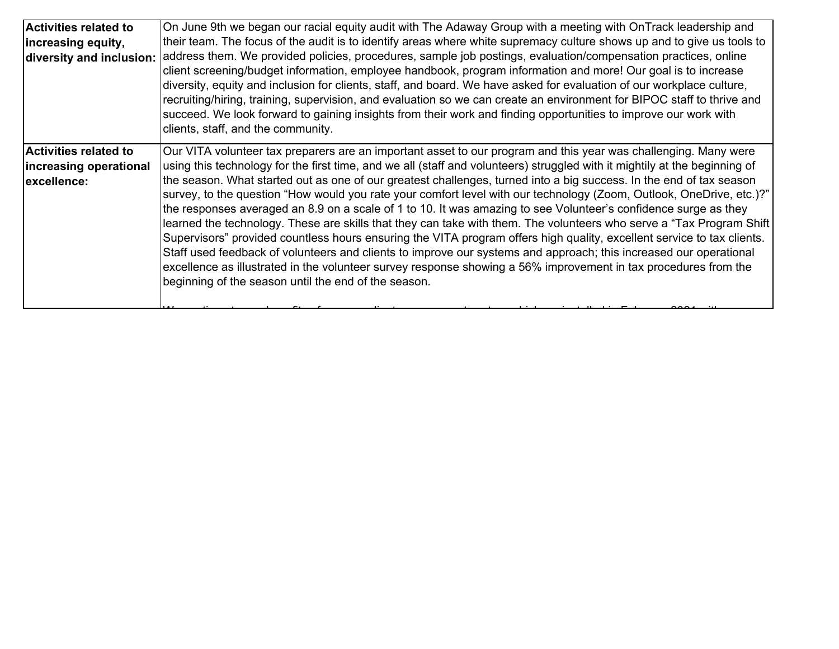| <b>Activities related to</b> | On June 9th we began our racial equity audit with The Adaway Group with a meeting with OnTrack leadership and              |
|------------------------------|----------------------------------------------------------------------------------------------------------------------------|
| increasing equity,           | their team. The focus of the audit is to identify areas where white supremacy culture shows up and to give us tools to     |
| diversity and inclusion:     | address them. We provided policies, procedures, sample job postings, evaluation/compensation practices, online             |
|                              | client screening/budget information, employee handbook, program information and more! Our goal is to increase              |
|                              | diversity, equity and inclusion for clients, staff, and board. We have asked for evaluation of our workplace culture,      |
|                              | recruiting/hiring, training, supervision, and evaluation so we can create an environment for BIPOC staff to thrive and     |
|                              | succeed. We look forward to gaining insights from their work and finding opportunities to improve our work with            |
|                              | clients, staff, and the community.                                                                                         |
| <b>Activities related to</b> | Our VITA volunteer tax preparers are an important asset to our program and this year was challenging. Many were            |
| increasing operational       | using this technology for the first time, and we all (staff and volunteers) struggled with it mightily at the beginning of |
| excellence:                  | the season. What started out as one of our greatest challenges, turned into a big success. In the end of tax season        |
|                              | survey, to the question "How would you rate your comfort level with our technology (Zoom, Outlook, OneDrive, etc.)?"       |
|                              | the responses averaged an 8.9 on a scale of 1 to 10. It was amazing to see Volunteer's confidence surge as they            |
|                              | learned the technology. These are skills that they can take with them. The volunteers who serve a "Tax Program Shift       |
|                              | Supervisors" provided countless hours ensuring the VITA program offers high quality, excellent service to tax clients.     |
|                              | Staff used feedback of volunteers and clients to improve our systems and approach; this increased our operational          |
|                              | excellence as illustrated in the volunteer survey response showing a 56% improvement in tax procedures from the            |
|                              | beginning of the season until the end of the season.                                                                       |
|                              |                                                                                                                            |
|                              |                                                                                                                            |

We then the fit f line  $\mathcal{L}$  that the third is the three conditions of the  $\mathcal{L}$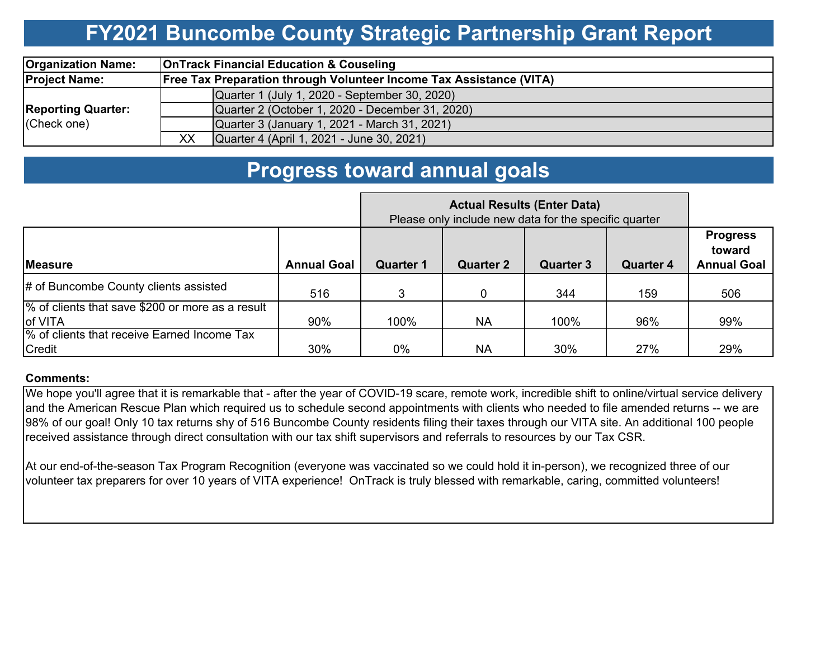## **FY2021 Buncombe County Strategic Partnership Grant Report**

| <b>Organization Name:</b>                | <b>OnTrack Financial Education &amp; Couseling</b> |                                                                            |  |  |  |  |
|------------------------------------------|----------------------------------------------------|----------------------------------------------------------------------------|--|--|--|--|
| <b>Project Name:</b>                     |                                                    | <b>Free Tax Preparation through Volunteer Income Tax Assistance (VITA)</b> |  |  |  |  |
| <b>Reporting Quarter:</b><br>(Check one) |                                                    | Quarter 1 (July 1, 2020 - September 30, 2020)                              |  |  |  |  |
|                                          |                                                    | Quarter 2 (October 1, 2020 - December 31, 2020)                            |  |  |  |  |
|                                          |                                                    | Quarter 3 (January 1, 2021 - March 31, 2021)                               |  |  |  |  |
|                                          | XX                                                 | Quarter 4 (April 1, 2021 - June 30, 2021)                                  |  |  |  |  |

### **Progress toward annual goals**

|                                                             | Please only include new data for the specific quarter |                  |                  |                  |                  |                                                 |
|-------------------------------------------------------------|-------------------------------------------------------|------------------|------------------|------------------|------------------|-------------------------------------------------|
| <b>Measure</b>                                              | <b>Annual Goal</b>                                    | <b>Quarter 1</b> | <b>Quarter 2</b> | <b>Quarter 3</b> | <b>Quarter 4</b> | <b>Progress</b><br>toward<br><b>Annual Goal</b> |
| # of Buncombe County clients assisted                       | 516                                                   | 3                |                  | 344              | 159              | 506                                             |
| % of clients that save \$200 or more as a result<br>of VITA | 90%                                                   | 100%             | <b>NA</b>        | 100%             | 96%              | 99%                                             |
| % of clients that receive Earned Income Tax<br>Credit       | 30%                                                   | 0%               | <b>NA</b>        | 30%              | 27%              | 29%                                             |

#### **Comments:**

We hope you'll agree that it is remarkable that - after the year of COVID-19 scare, remote work, incredible shift to online/virtual service delivery and the American Rescue Plan which required us to schedule second appointments with clients who needed to file amended returns -- we are 98% of our goal! Only 10 tax returns shy of 516 Buncombe County residents filing their taxes through our VITA site. An additional 100 people received assistance through direct consultation with our tax shift supervisors and referrals to resources by our Tax CSR.

At our end-of-the-season Tax Program Recognition (everyone was vaccinated so we could hold it in-person), we recognized three of our volunteer tax preparers for over 10 years of VITA experience! OnTrack is truly blessed with remarkable, caring, committed volunteers!